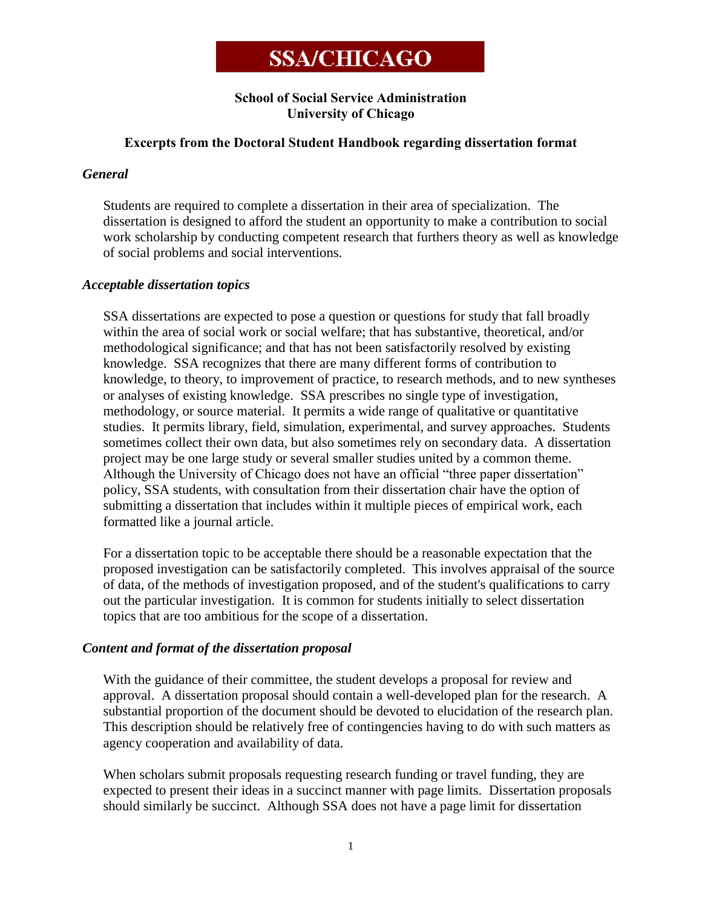# **SSA/CHICAGO**

# **School of Social Service Administration University of Chicago**

# **Excerpts from the Doctoral Student Handbook regarding dissertation format**

## *General*

Students are required to complete a dissertation in their area of specialization. The dissertation is designed to afford the student an opportunity to make a contribution to social work scholarship by conducting competent research that furthers theory as well as knowledge of social problems and social interventions.

## *Acceptable dissertation topics*

SSA dissertations are expected to pose a question or questions for study that fall broadly within the area of social work or social welfare; that has substantive, theoretical, and/or methodological significance; and that has not been satisfactorily resolved by existing knowledge. SSA recognizes that there are many different forms of contribution to knowledge, to theory, to improvement of practice, to research methods, and to new syntheses or analyses of existing knowledge. SSA prescribes no single type of investigation, methodology, or source material. It permits a wide range of qualitative or quantitative studies. It permits library, field, simulation, experimental, and survey approaches. Students sometimes collect their own data, but also sometimes rely on secondary data. A dissertation project may be one large study or several smaller studies united by a common theme. Although the University of Chicago does not have an official "three paper dissertation" policy, SSA students, with consultation from their dissertation chair have the option of submitting a dissertation that includes within it multiple pieces of empirical work, each formatted like a journal article.

For a dissertation topic to be acceptable there should be a reasonable expectation that the proposed investigation can be satisfactorily completed. This involves appraisal of the source of data, of the methods of investigation proposed, and of the student's qualifications to carry out the particular investigation. It is common for students initially to select dissertation topics that are too ambitious for the scope of a dissertation.

### *Content and format of the dissertation proposal*

With the guidance of their committee, the student develops a proposal for review and approval. A dissertation proposal should contain a well-developed plan for the research. A substantial proportion of the document should be devoted to elucidation of the research plan. This description should be relatively free of contingencies having to do with such matters as agency cooperation and availability of data.

When scholars submit proposals requesting research funding or travel funding, they are expected to present their ideas in a succinct manner with page limits. Dissertation proposals should similarly be succinct. Although SSA does not have a page limit for dissertation